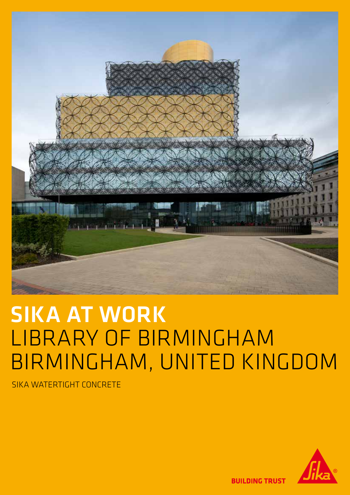

# SIKA AT WORK LIBRARY OF BIRMINGHAM BIRMINGHAM, UNITED KINGDOM

SIKA WATERTIGHT CONCRETE



**BUILDING TRUST**